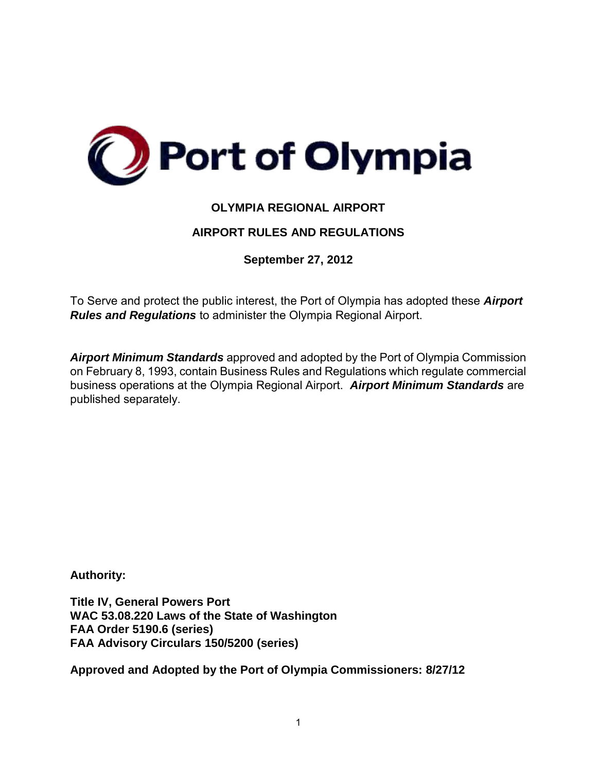

# **OLYMPIA REGIONAL AIRPORT**

# **AIRPORT RULES AND REGULATIONS**

**September 27, 2012**

To Serve and protect the public interest, the Port of Olympia has adopted these *Airport Rules and Regulations* to administer the Olympia Regional Airport.

*Airport Minimum Standards* approved and adopted by the Port of Olympia Commission on February 8, 1993, contain Business Rules and Regulations which regulate commercial business operations at the Olympia Regional Airport. *Airport Minimum Standards* are published separately.

**Authority:** 

**Title IV, General Powers Port WAC 53.08.220 Laws of the State of Washington FAA Order 5190.6 (series) FAA Advisory Circulars 150/5200 (series)** 

**Approved and Adopted by the Port of Olympia Commissioners: 8/27/12**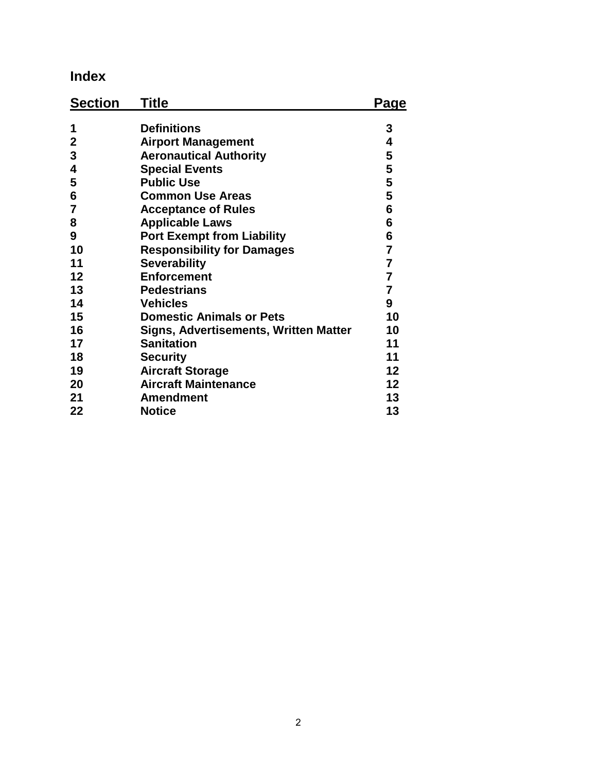# **Index**

| <b>Section</b> | <b>Title</b>                          | Page            |
|----------------|---------------------------------------|-----------------|
| 1              | <b>Definitions</b>                    | 3               |
| $\mathbf{2}$   | <b>Airport Management</b>             | 4               |
| 3              | <b>Aeronautical Authority</b>         | 5               |
| 4              | <b>Special Events</b>                 | 5               |
| 5              | <b>Public Use</b>                     | 5               |
| 6              | <b>Common Use Areas</b>               | 5               |
| 7              | <b>Acceptance of Rules</b>            | $6\phantom{1}6$ |
| 8              | <b>Applicable Laws</b>                | 6               |
| 9              | <b>Port Exempt from Liability</b>     | 6               |
| 10             | <b>Responsibility for Damages</b>     | $\overline{7}$  |
| 11             | <b>Severability</b>                   | $\overline{7}$  |
| 12             | <b>Enforcement</b>                    | $\overline{7}$  |
| 13             | <b>Pedestrians</b>                    | $\overline{7}$  |
| 14             | <b>Vehicles</b>                       | 9               |
| 15             | <b>Domestic Animals or Pets</b>       | 10              |
| 16             | Signs, Advertisements, Written Matter | 10              |
| 17             | <b>Sanitation</b>                     | 11              |
| 18             | <b>Security</b>                       | 11              |
| 19             | <b>Aircraft Storage</b>               | 12 <sub>2</sub> |
| 20             | <b>Aircraft Maintenance</b>           | 12 <sub>2</sub> |
| 21             | <b>Amendment</b>                      | 13              |
| 22             | <b>Notice</b>                         | 13              |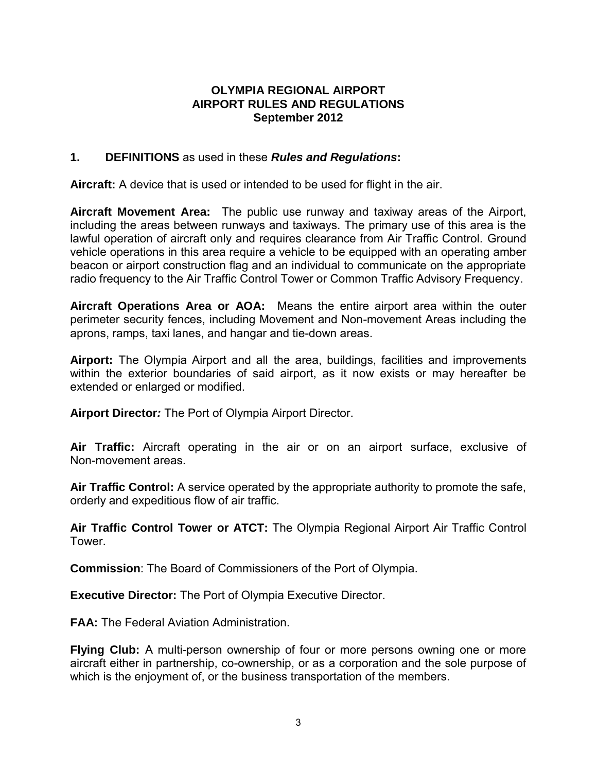#### **OLYMPIA REGIONAL AIRPORT AIRPORT RULES AND REGULATIONS September 2012**

#### **1. DEFINITIONS** as used in these *Rules and Regulations***:**

**Aircraft:** A device that is used or intended to be used for flight in the air.

**Aircraft Movement Area:**The public use runway and taxiway areas of the Airport, including the areas between runways and taxiways. The primary use of this area is the lawful operation of aircraft only and requires clearance from Air Traffic Control. Ground vehicle operations in this area require a vehicle to be equipped with an operating amber beacon or airport construction flag and an individual to communicate on the appropriate radio frequency to the Air Traffic Control Tower or Common Traffic Advisory Frequency.

**Aircraft Operations Area or AOA:**Means the entire airport area within the outer perimeter security fences, including Movement and Non-movement Areas including the aprons, ramps, taxi lanes, and hangar and tie-down areas.

**Airport:** The Olympia Airport and all the area, buildings, facilities and improvements within the exterior boundaries of said airport, as it now exists or may hereafter be extended or enlarged or modified.

**Airport Director***:* The Port of Olympia Airport Director.

**Air Traffic:** Aircraft operating in the air or on an airport surface, exclusive of Non-movement areas.

**Air Traffic Control:** A service operated by the appropriate authority to promote the safe, orderly and expeditious flow of air traffic.

**Air Traffic Control Tower or ATCT:** The Olympia Regional Airport Air Traffic Control Tower.

**Commission**: The Board of Commissioners of the Port of Olympia.

**Executive Director:** The Port of Olympia Executive Director.

**FAA:** The Federal Aviation Administration.

**Flying Club:** A multi-person ownership of four or more persons owning one or more aircraft either in partnership, co-ownership, or as a corporation and the sole purpose of which is the enjoyment of, or the business transportation of the members.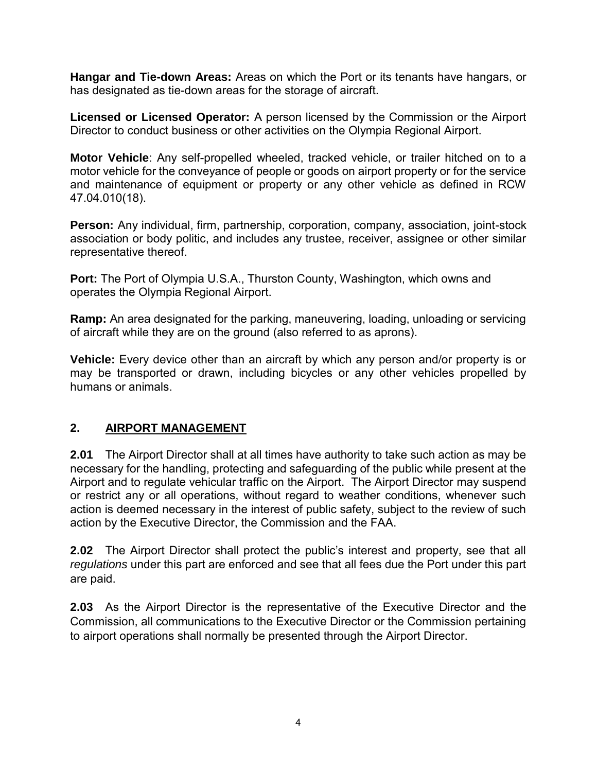**Hangar and Tie-down Areas:** Areas on which the Port or its tenants have hangars, or has designated as tie-down areas for the storage of aircraft.

**Licensed or Licensed Operator:** A person licensed by the Commission or the Airport Director to conduct business or other activities on the Olympia Regional Airport.

**Motor Vehicle**: Any self-propelled wheeled, tracked vehicle, or trailer hitched on to a motor vehicle for the conveyance of people or goods on airport property or for the service and maintenance of equipment or property or any other vehicle as defined in RCW 47.04.010(18).

**Person:** Any individual, firm, partnership, corporation, company, association, joint-stock association or body politic, and includes any trustee, receiver, assignee or other similar representative thereof.

**Port:** The Port of Olympia U.S.A., Thurston County, Washington, which owns and operates the Olympia Regional Airport.

**Ramp:** An area designated for the parking, maneuvering, loading, unloading or servicing of aircraft while they are on the ground (also referred to as aprons).

**Vehicle:** Every device other than an aircraft by which any person and/or property is or may be transported or drawn, including bicycles or any other vehicles propelled by humans or animals.

# **2. AIRPORT MANAGEMENT**

**2.01** The Airport Director shall at all times have authority to take such action as may be necessary for the handling, protecting and safeguarding of the public while present at the Airport and to regulate vehicular traffic on the Airport. The Airport Director may suspend or restrict any or all operations, without regard to weather conditions, whenever such action is deemed necessary in the interest of public safety, subject to the review of such action by the Executive Director, the Commission and the FAA.

**2.02** The Airport Director shall protect the public's interest and property, see that all *regulations* under this part are enforced and see that all fees due the Port under this part are paid.

**2.03** As the Airport Director is the representative of the Executive Director and the Commission, all communications to the Executive Director or the Commission pertaining to airport operations shall normally be presented through the Airport Director.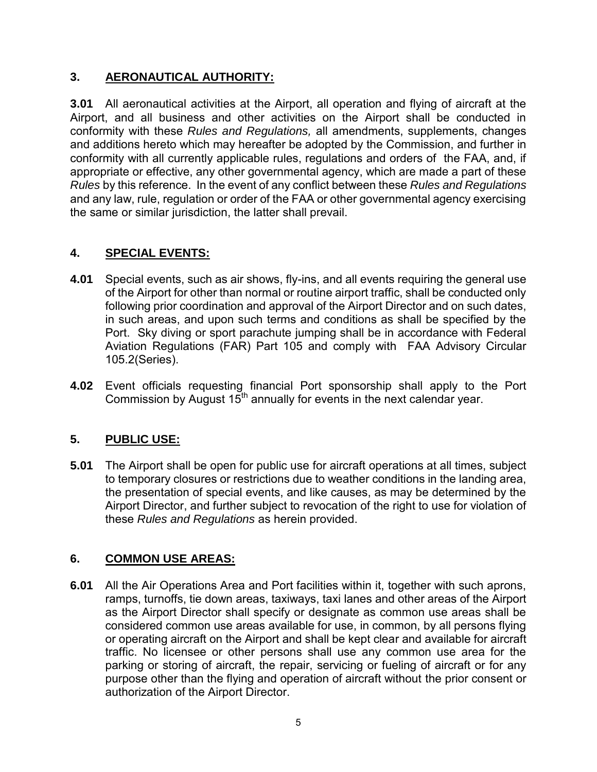# **3. AERONAUTICAL AUTHORITY:**

**3.01** All aeronautical activities at the Airport, all operation and flying of aircraft at the Airport, and all business and other activities on the Airport shall be conducted in conformity with these *Rules and Regulations,* all amendments, supplements, changes and additions hereto which may hereafter be adopted by the Commission, and further in conformity with all currently applicable rules, regulations and orders of the FAA, and, if appropriate or effective, any other governmental agency, which are made a part of these *Rules* by this reference. In the event of any conflict between these *Rules and Regulations*  and any law, rule, regulation or order of the FAA or other governmental agency exercising the same or similar jurisdiction, the latter shall prevail.

# **4. SPECIAL EVENTS:**

- **4.01** Special events, such as air shows, fly-ins, and all events requiring the general use of the Airport for other than normal or routine airport traffic, shall be conducted only following prior coordination and approval of the Airport Director and on such dates, in such areas, and upon such terms and conditions as shall be specified by the Port. Sky diving or sport parachute jumping shall be in accordance with Federal Aviation Regulations (FAR) Part 105 and comply with FAA Advisory Circular 105.2(Series).
- **4.02** Event officials requesting financial Port sponsorship shall apply to the Port Commission by August  $15<sup>th</sup>$  annually for events in the next calendar year.

# **5. PUBLIC USE:**

**5.01** The Airport shall be open for public use for aircraft operations at all times, subject to temporary closures or restrictions due to weather conditions in the landing area, the presentation of special events, and like causes, as may be determined by the Airport Director, and further subject to revocation of the right to use for violation of these *Rules and Regulations* as herein provided.

## **6. COMMON USE AREAS:**

**6.01** All the Air Operations Area and Port facilities within it, together with such aprons, ramps, turnoffs, tie down areas, taxiways, taxi lanes and other areas of the Airport as the Airport Director shall specify or designate as common use areas shall be considered common use areas available for use, in common, by all persons flying or operating aircraft on the Airport and shall be kept clear and available for aircraft traffic. No licensee or other persons shall use any common use area for the parking or storing of aircraft, the repair, servicing or fueling of aircraft or for any purpose other than the flying and operation of aircraft without the prior consent or authorization of the Airport Director.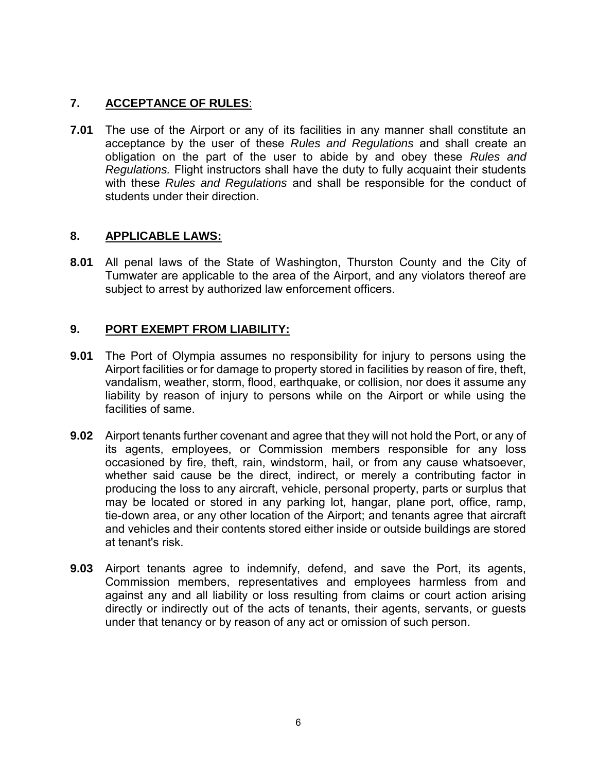# **7. ACCEPTANCE OF RULES**:

**7.01** The use of the Airport or any of its facilities in any manner shall constitute an acceptance by the user of these *Rules and Regulations* and shall create an obligation on the part of the user to abide by and obey these *Rules and Regulations.* Flight instructors shall have the duty to fully acquaint their students with these *Rules and Regulations* and shall be responsible for the conduct of students under their direction.

## **8. APPLICABLE LAWS:**

**8.01** All penal laws of the State of Washington, Thurston County and the City of Tumwater are applicable to the area of the Airport, and any violators thereof are subject to arrest by authorized law enforcement officers.

# **9. PORT EXEMPT FROM LIABILITY:**

- **9.01** The Port of Olympia assumes no responsibility for injury to persons using the Airport facilities or for damage to property stored in facilities by reason of fire, theft, vandalism, weather, storm, flood, earthquake, or collision, nor does it assume any liability by reason of injury to persons while on the Airport or while using the facilities of same.
- **9.02** Airport tenants further covenant and agree that they will not hold the Port, or any of its agents, employees, or Commission members responsible for any loss occasioned by fire, theft, rain, windstorm, hail, or from any cause whatsoever, whether said cause be the direct, indirect, or merely a contributing factor in producing the loss to any aircraft, vehicle, personal property, parts or surplus that may be located or stored in any parking lot, hangar, plane port, office, ramp, tie-down area, or any other location of the Airport; and tenants agree that aircraft and vehicles and their contents stored either inside or outside buildings are stored at tenant's risk.
- **9.03** Airport tenants agree to indemnify, defend, and save the Port, its agents, Commission members, representatives and employees harmless from and against any and all liability or loss resulting from claims or court action arising directly or indirectly out of the acts of tenants, their agents, servants, or guests under that tenancy or by reason of any act or omission of such person.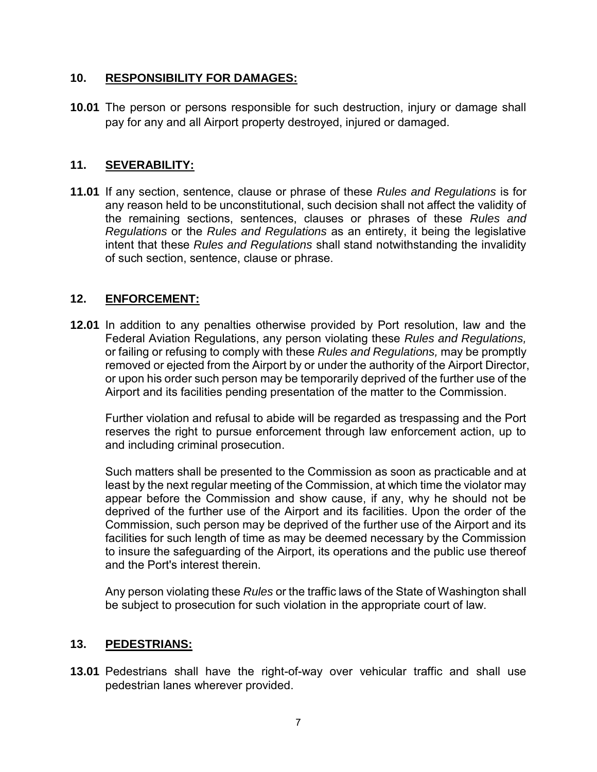## **10. RESPONSIBILITY FOR DAMAGES:**

**10.01** The person or persons responsible for such destruction, injury or damage shall pay for any and all Airport property destroyed, injured or damaged.

## **11. SEVERABILITY:**

**11.01** If any section, sentence, clause or phrase of these *Rules and Regulations* is for any reason held to be unconstitutional, such decision shall not affect the validity of the remaining sections, sentences, clauses or phrases of these *Rules and Regulations* or the *Rules and Regulations* as an entirety, it being the legislative intent that these *Rules and Regulations* shall stand notwithstanding the invalidity of such section, sentence, clause or phrase.

## **12. ENFORCEMENT:**

**12.01** In addition to any penalties otherwise provided by Port resolution, law and the Federal Aviation Regulations, any person violating these *Rules and Regulations,*  or failing or refusing to comply with these *Rules and Regulations,* may be promptly removed or ejected from the Airport by or under the authority of the Airport Director, or upon his order such person may be temporarily deprived of the further use of the Airport and its facilities pending presentation of the matter to the Commission.

 Further violation and refusal to abide will be regarded as trespassing and the Port reserves the right to pursue enforcement through law enforcement action, up to and including criminal prosecution.

Such matters shall be presented to the Commission as soon as practicable and at least by the next regular meeting of the Commission, at which time the violator may appear before the Commission and show cause, if any, why he should not be deprived of the further use of the Airport and its facilities. Upon the order of the Commission, such person may be deprived of the further use of the Airport and its facilities for such length of time as may be deemed necessary by the Commission to insure the safeguarding of the Airport, its operations and the public use thereof and the Port's interest therein.

Any person violating these *Rules* or the traffic laws of the State of Washington shall be subject to prosecution for such violation in the appropriate court of law.

## **13. PEDESTRIANS:**

**13.01** Pedestrians shall have the right-of-way over vehicular traffic and shall use pedestrian lanes wherever provided.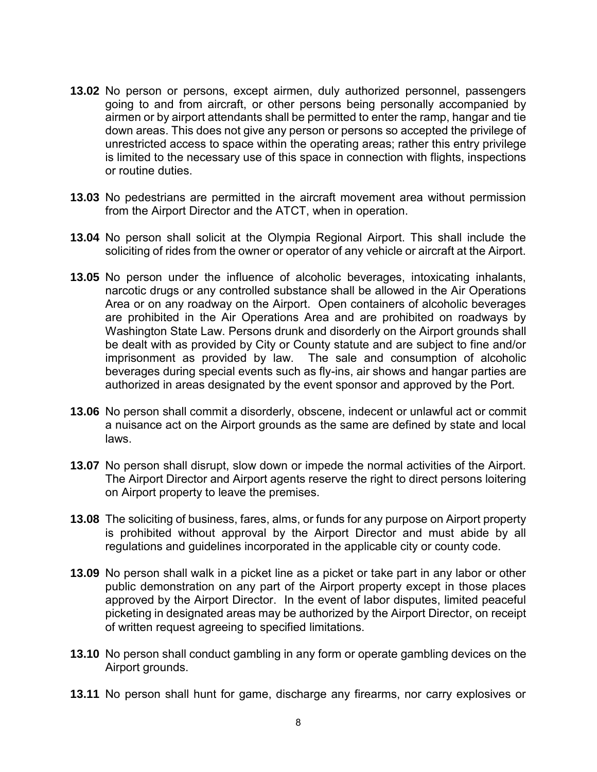- **13.02** No person or persons, except airmen, duly authorized personnel, passengers going to and from aircraft, or other persons being personally accompanied by airmen or by airport attendants shall be permitted to enter the ramp, hangar and tie down areas. This does not give any person or persons so accepted the privilege of unrestricted access to space within the operating areas; rather this entry privilege is limited to the necessary use of this space in connection with flights, inspections or routine duties.
- **13.03** No pedestrians are permitted in the aircraft movement area without permission from the Airport Director and the ATCT, when in operation.
- **13.04** No person shall solicit at the Olympia Regional Airport. This shall include the soliciting of rides from the owner or operator of any vehicle or aircraft at the Airport.
- **13.05** No person under the influence of alcoholic beverages, intoxicating inhalants, narcotic drugs or any controlled substance shall be allowed in the Air Operations Area or on any roadway on the Airport. Open containers of alcoholic beverages are prohibited in the Air Operations Area and are prohibited on roadways by Washington State Law. Persons drunk and disorderly on the Airport grounds shall be dealt with as provided by City or County statute and are subject to fine and/or imprisonment as provided by law. The sale and consumption of alcoholic beverages during special events such as fly-ins, air shows and hangar parties are authorized in areas designated by the event sponsor and approved by the Port.
- **13.06** No person shall commit a disorderly, obscene, indecent or unlawful act or commit a nuisance act on the Airport grounds as the same are defined by state and local laws.
- **13.07** No person shall disrupt, slow down or impede the normal activities of the Airport. The Airport Director and Airport agents reserve the right to direct persons loitering on Airport property to leave the premises.
- **13.08** The soliciting of business, fares, alms, or funds for any purpose on Airport property is prohibited without approval by the Airport Director and must abide by all regulations and guidelines incorporated in the applicable city or county code.
- **13.09** No person shall walk in a picket line as a picket or take part in any labor or other public demonstration on any part of the Airport property except in those places approved by the Airport Director. In the event of labor disputes, limited peaceful picketing in designated areas may be authorized by the Airport Director, on receipt of written request agreeing to specified limitations.
- **13.10** No person shall conduct gambling in any form or operate gambling devices on the Airport grounds.
- **13.11** No person shall hunt for game, discharge any firearms, nor carry explosives or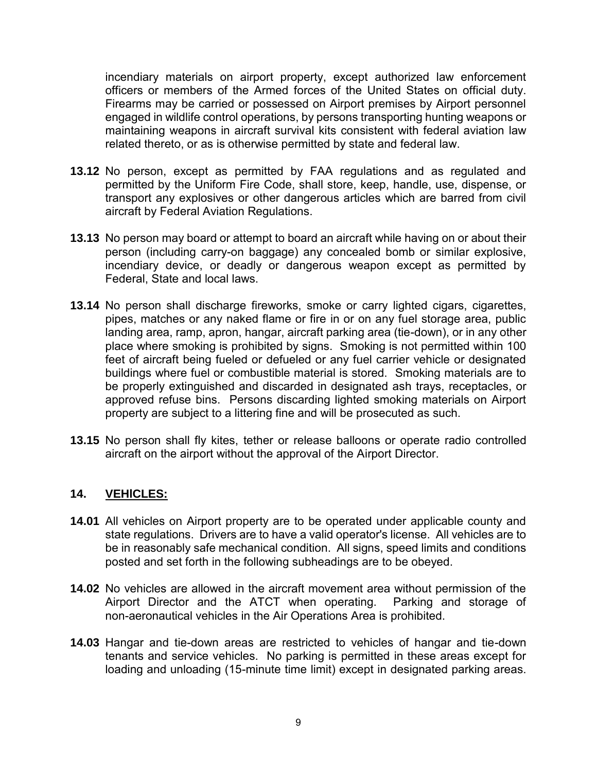incendiary materials on airport property, except authorized law enforcement officers or members of the Armed forces of the United States on official duty. Firearms may be carried or possessed on Airport premises by Airport personnel engaged in wildlife control operations, by persons transporting hunting weapons or maintaining weapons in aircraft survival kits consistent with federal aviation law related thereto, or as is otherwise permitted by state and federal law.

- **13.12** No person, except as permitted by FAA regulations and as regulated and permitted by the Uniform Fire Code, shall store, keep, handle, use, dispense, or transport any explosives or other dangerous articles which are barred from civil aircraft by Federal Aviation Regulations.
- **13.13** No person may board or attempt to board an aircraft while having on or about their person (including carry-on baggage) any concealed bomb or similar explosive, incendiary device, or deadly or dangerous weapon except as permitted by Federal, State and local laws.
- **13.14** No person shall discharge fireworks, smoke or carry lighted cigars, cigarettes, pipes, matches or any naked flame or fire in or on any fuel storage area, public landing area, ramp, apron, hangar, aircraft parking area (tie-down), or in any other place where smoking is prohibited by signs. Smoking is not permitted within 100 feet of aircraft being fueled or defueled or any fuel carrier vehicle or designated buildings where fuel or combustible material is stored. Smoking materials are to be properly extinguished and discarded in designated ash trays, receptacles, or approved refuse bins. Persons discarding lighted smoking materials on Airport property are subject to a littering fine and will be prosecuted as such.
- **13.15** No person shall fly kites, tether or release balloons or operate radio controlled aircraft on the airport without the approval of the Airport Director.

#### **14. VEHlCLES:**

- **14.01** All vehicles on Airport property are to be operated under applicable county and state regulations. Drivers are to have a valid operator's license. All vehicles are to be in reasonably safe mechanical condition. All signs, speed limits and conditions posted and set forth in the following subheadings are to be obeyed.
- **14.02** No vehicles are allowed in the aircraft movement area without permission of the ATCT when operating. Parking and storage of Airport Director and the ATCT when operating. non-aeronautical vehicles in the Air Operations Area is prohibited.
- **14.03** Hangar and tie-down areas are restricted to vehicles of hangar and tie-down tenants and service vehicles. No parking is permitted in these areas except for loading and unloading (15-minute time limit) except in designated parking areas.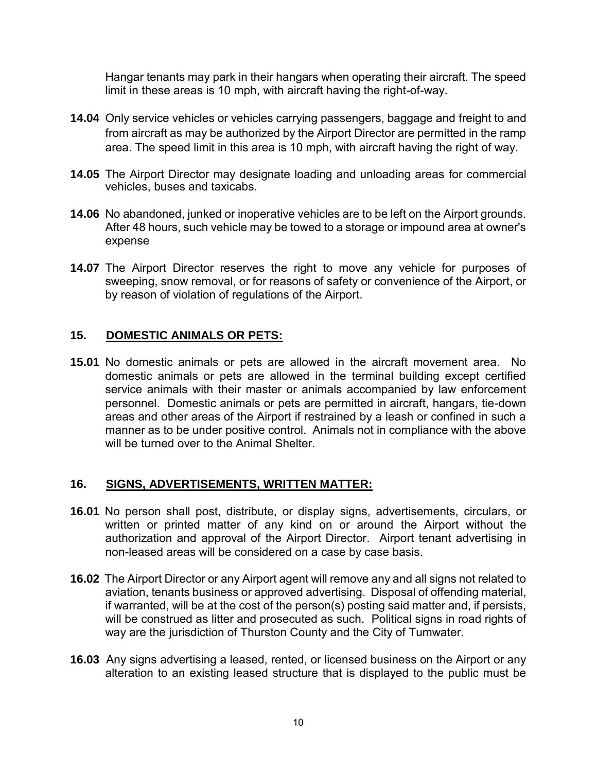Hangar tenants may park in their hangars when operating their aircraft. The speed limit in these areas is 10 mph, with aircraft having the right-of-way.

- **14.04** Only service vehicles or vehicles carrying passengers, baggage and freight to and from aircraft as may be authorized by the Airport Director are permitted in the ramp area. The speed limit in this area is 10 mph, with aircraft having the right of way.
- **14.05** The Airport Director may designate loading and unloading areas for commercial vehicles, buses and taxicabs.
- **14.06** No abandoned, junked or inoperative vehicles are to be left on the Airport grounds. After 48 hours, such vehicle may be towed to a storage or impound area at owner's expense
- **14.07** The Airport Director reserves the right to move any vehicle for purposes of sweeping, snow removal, or for reasons of safety or convenience of the Airport, or by reason of violation of regulations of the Airport.

### **15. DOMESTIC ANIMALS OR PETS:**

**15.01** No domestic animals or pets are allowed in the aircraft movement area. No domestic animals or pets are allowed in the terminal building except certified service animals with their master or animals accompanied by law enforcement personnel. Domestic animals or pets are permitted in aircraft, hangars, tie-down areas and other areas of the Airport if restrained by a leash or confined in such a manner as to be under positive control. Animals not in compliance with the above will be turned over to the Animal Shelter.

#### **16. SIGNS, ADVERTISEMENTS, WRITTEN MATTER:**

- **16.01** No person shall post, distribute, or display signs, advertisements, circulars, or written or printed matter of any kind on or around the Airport without the authorization and approval of the Airport Director. Airport tenant advertising in non-leased areas will be considered on a case by case basis.
- **16.02** The Airport Director or any Airport agent will remove any and all signs not related to aviation, tenants business or approved advertising. Disposal of offending material, if warranted, will be at the cost of the person(s) posting said matter and, if persists, will be construed as litter and prosecuted as such. Political signs in road rights of way are the jurisdiction of Thurston County and the City of Tumwater.
- **16.03** Any signs advertising a leased, rented, or licensed business on the Airport or any alteration to an existing leased structure that is displayed to the public must be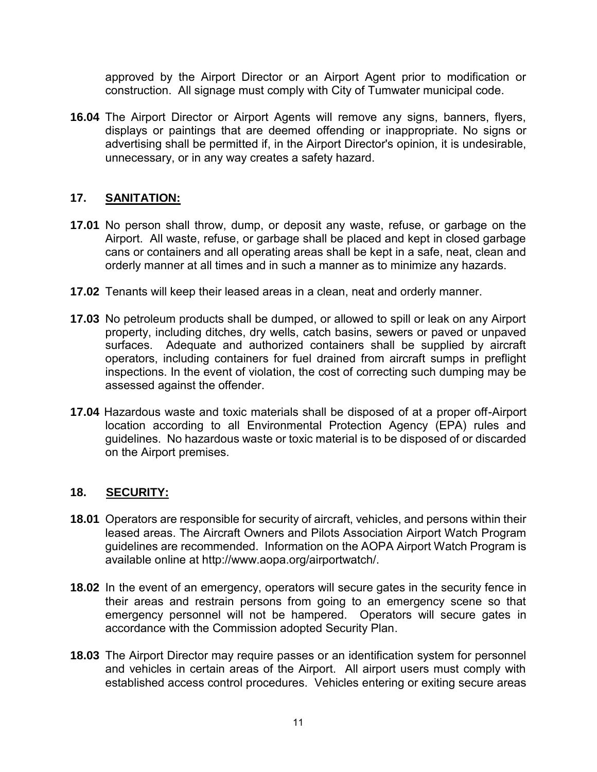approved by the Airport Director or an Airport Agent prior to modification or construction. All signage must comply with City of Tumwater municipal code.

**16.04** The Airport Director or Airport Agents will remove any signs, banners, flyers, displays or paintings that are deemed offending or inappropriate. No signs or advertising shall be permitted if, in the Airport Director's opinion, it is undesirable, unnecessary, or in any way creates a safety hazard.

### **17. SANITATION:**

- **17.01** No person shall throw, dump, or deposit any waste, refuse, or garbage on the Airport. All waste, refuse, or garbage shall be placed and kept in closed garbage cans or containers and all operating areas shall be kept in a safe, neat, clean and orderly manner at all times and in such a manner as to minimize any hazards.
- **17.02** Tenants will keep their leased areas in a clean, neat and orderly manner.
- **17.03** No petroleum products shall be dumped, or allowed to spill or leak on any Airport property, including ditches, dry wells, catch basins, sewers or paved or unpaved surfaces. Adequate and authorized containers shall be supplied by aircraft operators, including containers for fuel drained from aircraft sumps in preflight inspections. In the event of violation, the cost of correcting such dumping may be assessed against the offender.
- **17.04** Hazardous waste and toxic materials shall be disposed of at a proper off-Airport location according to all Environmental Protection Agency (EPA) rules and guidelines. No hazardous waste or toxic material is to be disposed of or discarded on the Airport premises.

## **18. SECURITY:**

- **18.01** Operators are responsible for security of aircraft, vehicles, and persons within their leased areas. The Aircraft Owners and Pilots Association Airport Watch Program guidelines are recommended. Information on the AOPA Airport Watch Program is available online at http://www.aopa.org/airportwatch/.
- **18.02** In the event of an emergency, operators will secure gates in the security fence in their areas and restrain persons from going to an emergency scene so that emergency personnel will not be hampered. Operators will secure gates in accordance with the Commission adopted Security Plan.
- **18.03** The Airport Director may require passes or an identification system for personnel and vehicles in certain areas of the Airport. All airport users must comply with established access control procedures. Vehicles entering or exiting secure areas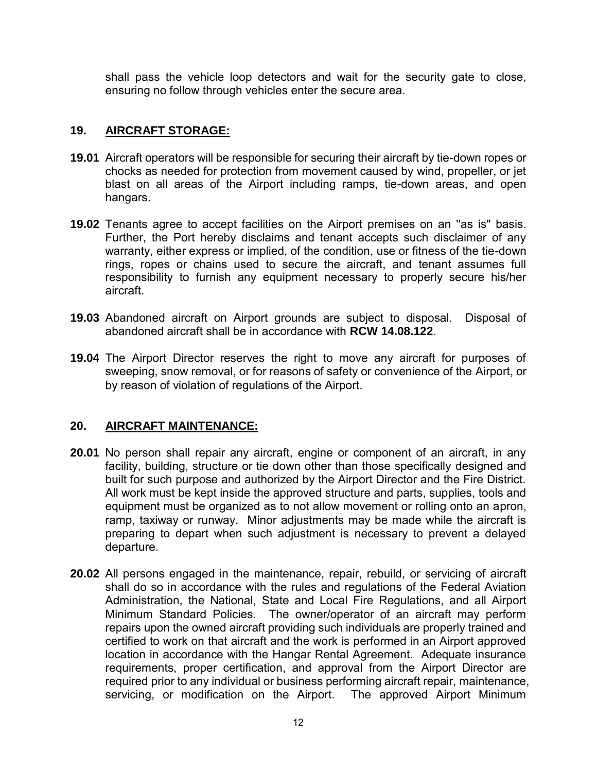shall pass the vehicle loop detectors and wait for the security gate to close, ensuring no follow through vehicles enter the secure area.

## **19. AIRCRAFT STORAGE:**

- **19.01** Aircraft operators will be responsible for securing their aircraft by tie-down ropes or chocks as needed for protection from movement caused by wind, propeller, or jet blast on all areas of the Airport including ramps, tie-down areas, and open hangars.
- **19.02** Tenants agree to accept facilities on the Airport premises on an ''as is" basis. Further, the Port hereby disclaims and tenant accepts such disclaimer of any warranty, either express or implied, of the condition, use or fitness of the tie-down rings, ropes or chains used to secure the aircraft, and tenant assumes full responsibility to furnish any equipment necessary to properly secure his/her aircraft.
- **19.03** Abandoned aircraft on Airport grounds are subject to disposal. Disposal of abandoned aircraft shall be in accordance with **RCW 14.08.122**.
- **19.04** The Airport Director reserves the right to move any aircraft for purposes of sweeping, snow removal, or for reasons of safety or convenience of the Airport, or by reason of violation of regulations of the Airport.

#### **20. AIRCRAFT MAINTENANCE:**

- **20.01** No person shall repair any aircraft, engine or component of an aircraft, in any facility, building, structure or tie down other than those specifically designed and built for such purpose and authorized by the Airport Director and the Fire District. All work must be kept inside the approved structure and parts, supplies, tools and equipment must be organized as to not allow movement or rolling onto an apron, ramp, taxiway or runway. Minor adjustments may be made while the aircraft is preparing to depart when such adjustment is necessary to prevent a delayed departure.
- **20.02** All persons engaged in the maintenance, repair, rebuild, or servicing of aircraft shall do so in accordance with the rules and regulations of the Federal Aviation Administration, the National, State and Local Fire Regulations, and all Airport Minimum Standard Policies. The owner/operator of an aircraft may perform repairs upon the owned aircraft providing such individuals are properly trained and certified to work on that aircraft and the work is performed in an Airport approved location in accordance with the Hangar Rental Agreement. Adequate insurance requirements, proper certification, and approval from the Airport Director are required prior to any individual or business performing aircraft repair, maintenance, servicing, or modification on the Airport. The approved Airport Minimum